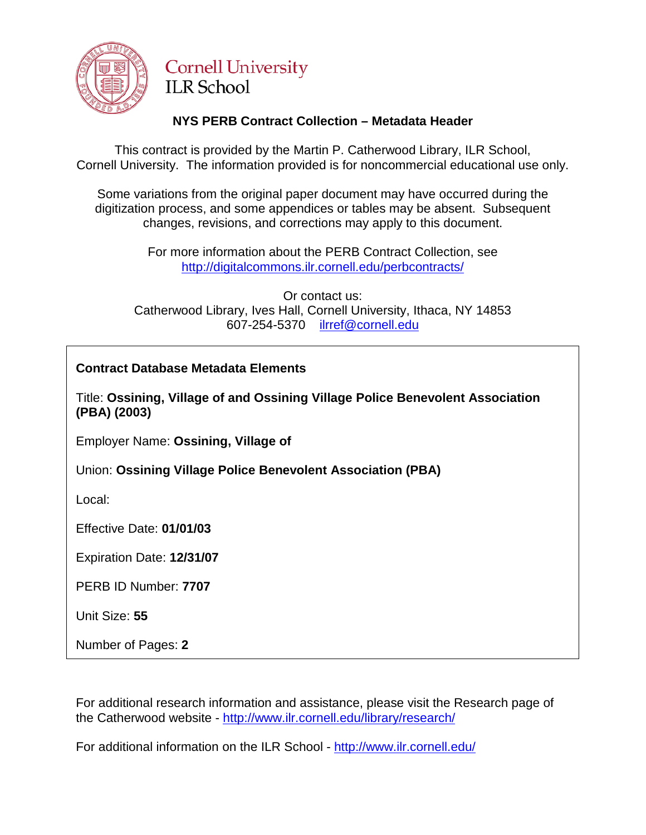

## **Cornell University ILR School**

## **NYS PERB Contract Collection – Metadata Header**

This contract is provided by the Martin P. Catherwood Library, ILR School, Cornell University. The information provided is for noncommercial educational use only.

Some variations from the original paper document may have occurred during the digitization process, and some appendices or tables may be absent. Subsequent changes, revisions, and corrections may apply to this document.

> For more information about the PERB Contract Collection, see http://digitalcommons.ilr.cornell.edu/perbcontracts/

Or contact us: Catherwood Library, Ives Hall, Cornell University, Ithaca, NY 14853 607-254-5370 [ilrref@cornell.edu](mailto:ilrref@cornell.edu)

## **Contract Database Metadata Elements**

Title: **Ossining, Village of and Ossining Village Police Benevolent Association (PBA) (2003)**

Employer Name: **Ossining, Village of**

Union: **Ossining Village Police Benevolent Association (PBA)**

Local:

Effective Date: **01/01/03**

Expiration Date: **12/31/07**

PERB ID Number: **7707**

Unit Size: **55**

Number of Pages: **2**

For additional research information and assistance, please visit the Research page of the Catherwood website - <http://www.ilr.cornell.edu/library/research/>

For additional information on the ILR School - <http://www.ilr.cornell.edu/>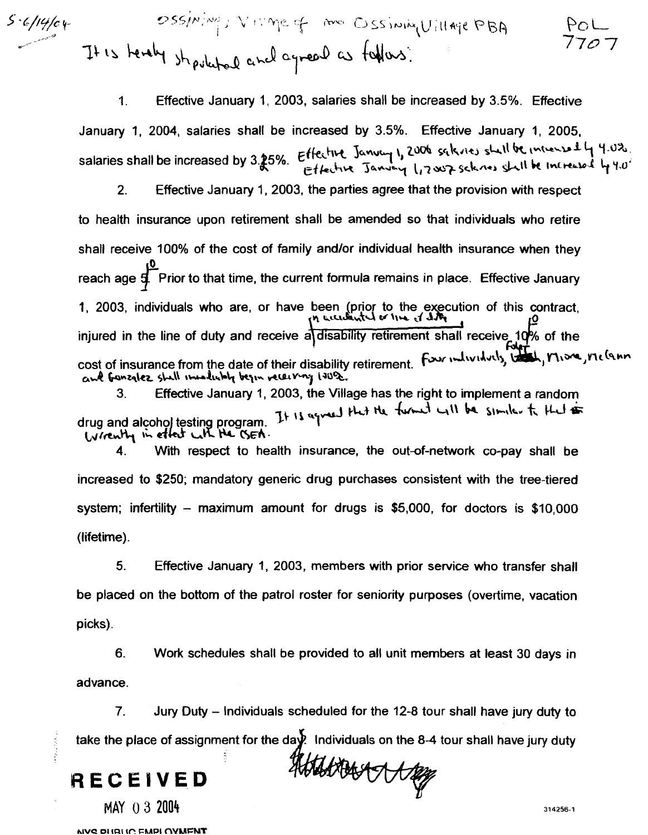Ossining, VIVIMe of me Ossining Uillage PBA  $5.6/14/04$ 

> 1. Effective January 1, 2003, salaries shall be increased by 3.5%. Effective January **1,** 2004, salaries shall be increased by 3.5%. Effective January 1, 2005, sanuary 1, 2004, salaries shall be increased by 3.5%. Effective January 1, 2005,<br>Salaries shall be increased by 3.25%. Effective January 1, 2006 sqlains shall be intrensed by 1.0<sup>2</sup>.<br>Effective January 1, 2007 sclares shal

**2.** Effective January 1, 2003, the parties agree that the provision with respect to health insurance upon retirement shall be amended so that individuals who retire shall receive 100% of the cost of family and/or individual health insurance when they reach age  $\sharp$  Prior to that time, the current formula remains in place. Effective January 1, 2003, individuals who are, or have been (prior to the execution of this contract, **1,**  $\frac{1}{10}$ injured in the line of duty and receive a disability retirement shall receive 10% of the cost of insurance from the date of their disability retirement. **ad b~zq\a** +.\ **t-LbL, kp ,+wv-** 'I **(40%** 

and Generatez shall invadint begin receiving 1908.<br>3. Effective January 1, 2003, the Village has the right to implement a random<br>drug and alcohol testing program. It is equal that the funnel will be similed to the to<br>larg

**4.** With respect to health insurance, the out-of-network co-pay shall be increased to \$250; mandatory generic drug purchases consistent with the tree-tiered system; infertility – maximum amount for drugs is \$5,000, for doctors is  $$10,000$ (lifetime).

**5.** Effective January I, 2003, members with prior service who transfer shall be placed on the bottom of the patrol roster for seniority purposes (overtime, vacation picks).

**6.** Work schedules shall be provided to all unit members at least 30 days in advance.

**7.** Jury Duty - Individuals scheduled for the 12-8 tour shall have jury duty to - take the place of assignment for the d ividuals on the 8-4 tour shall have jury duty

**RECEIVED** 

**MAY** 0 **3** 2004

**NVC DHRHC FMPI OVMENT**